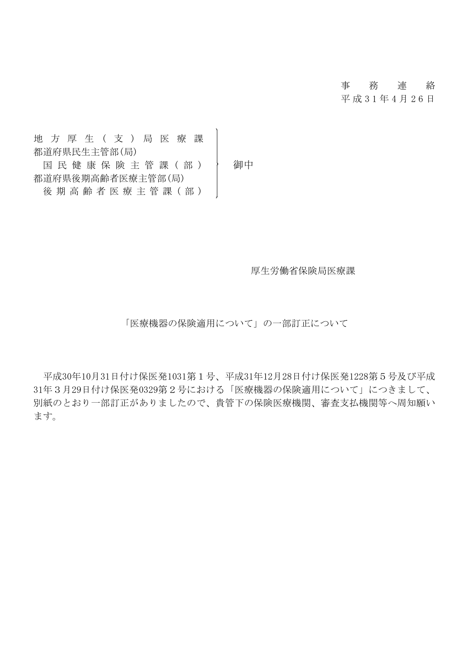## 事 務 連 絡

平 成 3 1 年 4 月 2 6 日

地 方 厚 生 ( 支 ) 局 医 療 課 都道府県民生主管部(局) 国民健康保険主管課(部) 福中 都道府県後期高齢者医療主管部(局) 後 期 高 齢 者 医 療 主 管 課 (部)

厚生労働省保険局医療課

「医療機器の保険適用について」の一部訂正について

平成30年10月31日付け保医発1031第1号、平成31年12月28日付け保医発1228第5号及び平成 31年3月29日付け保医発0329第2号における「医療機器の保険適用について」につきまして、 別紙のとおり一部訂正がありましたので、貴管下の保険医療機関、審査支払機関等へ周知願い ます。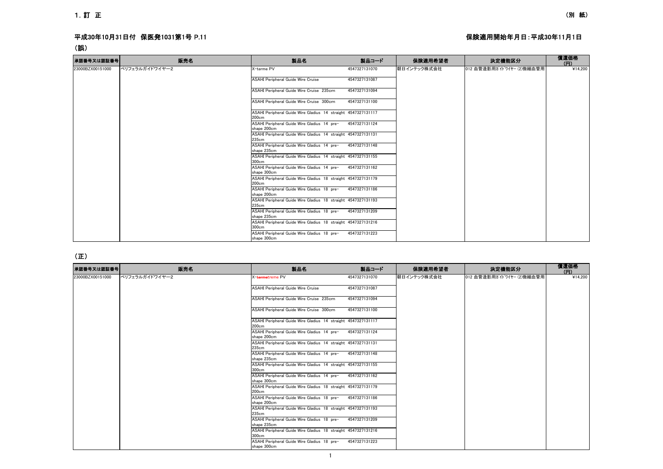### 平成30年10月31日付 保医発1031第1号 P.11 トランス インタンストランス インタンストランス インタンストランス 保険適用開始年月日:平成30年11月1日

### (誤)

| 承認番号又は認証番号       | 販売名            | 製品名                                                                    | 製品コード         | 保険適用希望者     | 決定機能区分                    | 償還価格<br>(FI) |
|------------------|----------------|------------------------------------------------------------------------|---------------|-------------|---------------------------|--------------|
| 23000BZX00151000 | ペリフェラルガイドワイヤー2 | X-terme PV                                                             | 4547327131070 | 朝日インテック株式会社 | 012 血管造影用ガイドワイヤー (2)微細血管用 | ¥14.200      |
|                  |                | <b>ASAHI Peripheral Guide Wire Cruise</b>                              | 4547327131087 |             |                           |              |
|                  |                | ASAHI Peripheral Guide Wire Cruise 235cm                               | 4547327131094 |             |                           |              |
|                  |                | ASAHI Peripheral Guide Wire Cruise 300cm                               | 4547327131100 |             |                           |              |
|                  |                | ASAHI Peripheral Guide Wire Gladius 14 straight 4547327131117<br>200cm |               |             |                           |              |
|                  |                | ASAHI Peripheral Guide Wire Gladius 14 pre-<br>shape 200cm             | 4547327131124 |             |                           |              |
|                  |                | ASAHI Peripheral Guide Wire Gladius 14 straight 4547327131131<br>235cm |               |             |                           |              |
|                  |                | ASAHI Peripheral Guide Wire Gladius 14 pre-<br>shape 235cm             | 4547327131148 |             |                           |              |
|                  |                | ASAHI Peripheral Guide Wire Gladius 14 straight 4547327131155<br>300cm |               |             |                           |              |
|                  |                | ASAHI Peripheral Guide Wire Gladius 14 pre-<br>shape 300cm             | 4547327131162 |             |                           |              |
|                  |                | ASAHI Peripheral Guide Wire Gladius 18 straight 4547327131179<br>200cm |               |             |                           |              |
|                  |                | ASAHI Peripheral Guide Wire Gladius 18 pre-<br>shape 200cm             | 4547327131186 |             |                           |              |
|                  |                | ASAHI Peripheral Guide Wire Gladius 18 straight 4547327131193<br>235cm |               |             |                           |              |
|                  |                | ASAHI Peripheral Guide Wire Gladius 18 pre-<br>shape 235cm             | 4547327131209 |             |                           |              |
|                  |                | ASAHI Peripheral Guide Wire Gladius 18 straight 4547327131216<br>300cm |               |             |                           |              |
|                  |                | ASAHI Peripheral Guide Wire Gladius 18 pre-<br>shape 300cm             | 4547327131223 |             |                           |              |

### (正)

| 承認番号又は認証番号       | 販売名            | 製品名                                                                    | 製品コード         | 保険適用希望者     | 決定機能区分                    | 償還価格<br>(円) |
|------------------|----------------|------------------------------------------------------------------------|---------------|-------------|---------------------------|-------------|
| 23000BZX00151000 | ペリフェラルガイドワイヤー2 | X-termetreme PV                                                        | 4547327131070 | 朝日インテック株式会社 | 012 血管造影用ガイドワイヤー (2)微細血管用 | ¥14.200     |
|                  |                | <b>ASAHI Peripheral Guide Wire Cruise</b>                              | 4547327131087 |             |                           |             |
|                  |                | ASAHI Peripheral Guide Wire Cruise 235cm                               | 4547327131094 |             |                           |             |
|                  |                | ASAHI Peripheral Guide Wire Cruise 300cm                               | 4547327131100 |             |                           |             |
|                  |                | ASAHI Peripheral Guide Wire Gladius 14 straight 4547327131117<br>200cm |               |             |                           |             |
|                  |                | ASAHI Peripheral Guide Wire Gladius 14 pre-<br>shape 200cm             | 4547327131124 |             |                           |             |
|                  |                | ASAHI Peripheral Guide Wire Gladius 14 straight 4547327131131<br>235cm |               |             |                           |             |
|                  |                | ASAHI Peripheral Guide Wire Gladius 14 pre-<br>shape 235cm             | 4547327131148 |             |                           |             |
|                  |                | ASAHI Peripheral Guide Wire Gladius 14 straight 4547327131155<br>300cm |               |             |                           |             |
|                  |                | ASAHI Peripheral Guide Wire Gladius 14 pre-<br>shape 300cm             | 4547327131162 |             |                           |             |
|                  |                | ASAHI Peripheral Guide Wire Gladius 18 straight 4547327131179<br>200cm |               |             |                           |             |
|                  |                | ASAHI Peripheral Guide Wire Gladius 18 pre-<br>shape 200cm             | 4547327131186 |             |                           |             |
|                  |                | ASAHI Peripheral Guide Wire Gladius 18 straight 4547327131193<br>235cm |               |             |                           |             |
|                  |                | ASAHI Peripheral Guide Wire Gladius 18 pre-<br>shape 235cm             | 4547327131209 |             |                           |             |
|                  |                | ASAHI Peripheral Guide Wire Gladius 18 straight 4547327131216<br>300cm |               |             |                           |             |
|                  |                | ASAHI Peripheral Guide Wire Gladius 18 pre-<br>shape 300cm             | 4547327131223 |             |                           |             |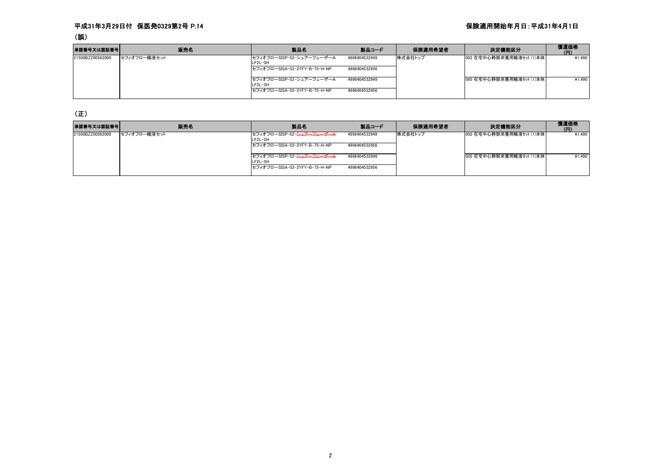### 平成31年3月29日付 保医発0329第2号 P.14 保険適用開始年月日:平成31年4月1日

### (誤)

| 承認番号又は認証番号       | 販売名          | 製品名                                  | 製品コード         | 保険適用希望者 | 決定機能区分                   | 償還価格<br>(FI) |
|------------------|--------------|--------------------------------------|---------------|---------|--------------------------|--------------|
| 21500BZZ00562000 | セフィオフロー輸液セット | セフィオフローSISP-52-シュアーフューザーA<br>LF2L-SH | 4996404532949 | 株式会社トップ | 002 在宅中心静脈栄養用輸液セット (1)本体 | ¥1,490       |
|                  |              | セフィオフローSISA-52-2YFY-B-75-H-NP        | 4996404532956 |         |                          |              |
|                  |              | セフィオフローSISP-52-シュアーフューザーA<br>LF2L-SH | 4996404532949 |         | 005 在宅中心静脈栄養用輸液セット (1)本体 | ¥1.490       |
|                  |              | セフィオフローSISA-52-2YFY-B-75-H-NP        | 4996404532956 |         |                          |              |

(正)

| 承認番号又は認証番号       | 販売名          | 製品名                                              | 製品コード         | 保険適用希望者 | 決定機能区分                   | 償還価格<br>(FI) |
|------------------|--------------|--------------------------------------------------|---------------|---------|--------------------------|--------------|
| 21500BZZ00562000 | セフィオフロー輸液セット | セフィオフローSISP-52- <del>シュアーフューザーA</del><br>LF2L-SH | 4996404532949 | 株式会社トップ | 002 在宅中心静脈栄養用輸液セット (1)本体 | ¥1.490       |
|                  |              | セフィオフローSISA-52-2YFY-B-75-H-NP                    | 4996404532956 |         |                          |              |
|                  |              | セフィオフローSISP-52- <del>シュアーフューザーA</del><br>LF2L-SH | 4996404532949 |         | 005 在宅中心静脈栄養用輸液セット (1)本体 | ¥1,490       |
|                  |              | セフィオフローSISA-52-2YFY-B-75-H-NP                    | 4996404532956 |         |                          |              |